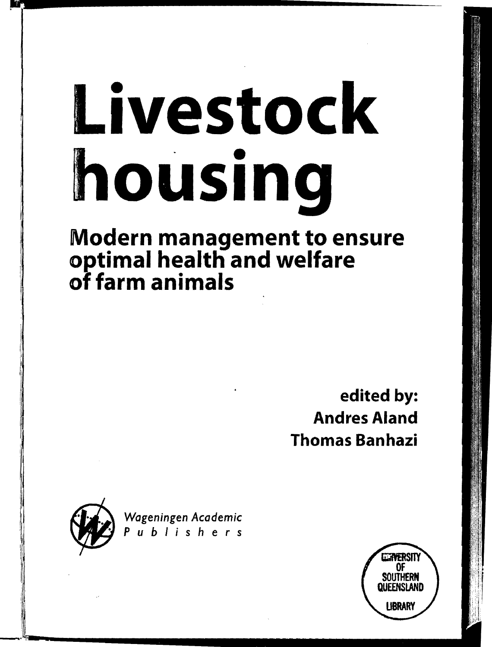# Livestock housing

# Modern management to ensure optimal health and welfare of farm animals

edited by: Andres Aland Thomas Banhazi



*Wageningen Academic ··Publishers* 

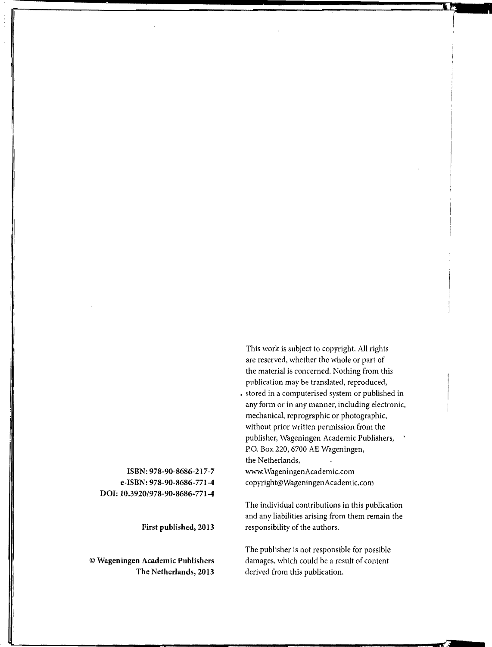This work is subject to copyright. All rights are reserved, whether the whole or part of the material is concerned. Nothing from this publication may be translated, reproduced,

• stored in a computerised system or published in any form or in any manner, including electronic, mechanical, reprographic or photographic, without prior written permission from the publisher, Wageningen Academic Publishers, P.O. Box 220, 6700 AE Wageningen, the Netherlands,

www.WageningenAcademic.com copyright@WageningenAcademic.com

The individual contributions in this publication and any liabilities arising from them remain the responsibility of the authors.

The publisher is not responsible for possible damages, which could be a result of content derived from this publication.

ISBN: 978-90-8686-217-7 e-ISBN: 978-90-8686-771-4 DOl: 10.3920/978-90-8686-771-4

First published, 2013

© Wageningen Academic Publishers The Netherlands, 2013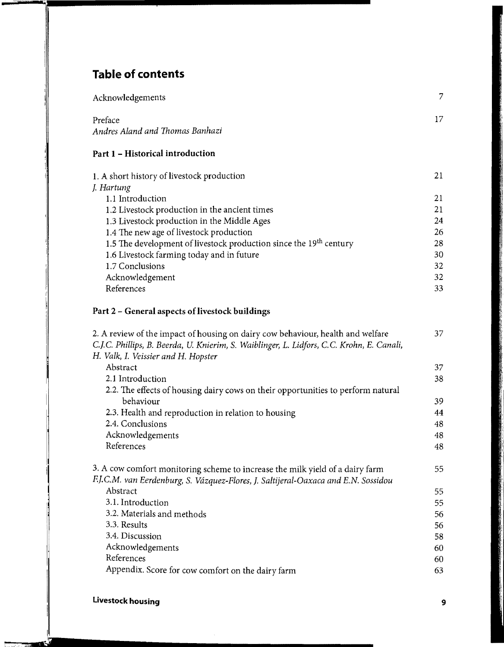# **Table of contents**

| Acknowledgements                           |  |
|--------------------------------------------|--|
| Preface<br>Andres Aland and Thomas Banhazi |  |

# Part 1 - Historical introduction

| 1. A short history of livestock production                                     | 21 |
|--------------------------------------------------------------------------------|----|
| J. Hartung                                                                     |    |
| 1.1 Introduction                                                               | 21 |
| 1.2 Livestock production in the ancient times                                  | 21 |
| 1.3 Livestock production in the Middle Ages                                    | 24 |
| 1.4 The new age of livestock production                                        | 26 |
| 1.5 The development of livestock production since the 19 <sup>th</sup> century | 28 |
| 1.6 Livestock farming today and in future                                      | 30 |
| 1.7 Conclusions                                                                | 32 |
| Acknowledgement                                                                | 32 |
| References                                                                     | 33 |

#### Part 2 - General aspects of livestock buildings

| 2. A review of the impact of housing on dairy cow behaviour, health and welfare           | 37  |
|-------------------------------------------------------------------------------------------|-----|
| C.J.C. Phillips, B. Beerda, U. Knierim, S. Waiblinger, L. Lidfors, C.C. Krohn, E. Canali, |     |
| H. Valk, I. Veissier and H. Hopster                                                       |     |
| Abstract                                                                                  | 37  |
| 2.1 Introduction                                                                          | 38. |
| 2.2. The effects of housing dairy cows on their opportunities to perform natural          |     |
| behaviour                                                                                 | 39  |
| 2.3. Health and reproduction in relation to housing                                       | 44  |
| 2.4. Conclusions                                                                          | 48  |
| Acknowledgements                                                                          | 48  |
| References                                                                                | 48  |
| 3. A cow comfort monitoring scheme to increase the milk yield of a dairy farm             | 55  |
| F.J.C.M. van Eerdenburg, S. Vázquez-Flores, J. Saltijeral-Oaxaca and E.N. Sossidou        |     |
| Abstract                                                                                  | 55  |
| 3.1. Introduction                                                                         | 55. |
| 3.2. Materials and methods                                                                | 56  |
| 3.3. Results                                                                              | 56  |
| 3.4. Discussion                                                                           | 58  |
| Acknowledgements                                                                          | 60  |
| References                                                                                | 60  |
| Appendix. Score for cow comfort on the dairy farm                                         | 63  |

 $\frac{1}{2}$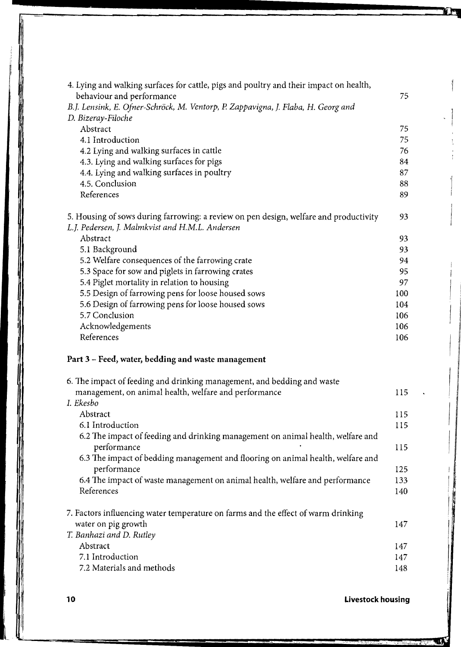| 4. Lying and walking surfaces for cattle, pigs and poultry and their impact on health,                                                   |     |
|------------------------------------------------------------------------------------------------------------------------------------------|-----|
| behaviour and performance                                                                                                                | 75  |
| B.J. Lensink, E. Ofner-Schröck, M. Ventorp, P. Zappavigna, J. Flaba, H. Georg and                                                        |     |
| D. Bizeray-Filoche                                                                                                                       |     |
| Abstract                                                                                                                                 | 75  |
| 4.1 Introduction                                                                                                                         | 75  |
| 4.2 Lying and walking surfaces in cattle                                                                                                 | 76  |
| 4.3. Lying and walking surfaces for pigs                                                                                                 | 84  |
| 4.4. Lying and walking surfaces in poultry                                                                                               | 87  |
| 4.5. Conclusion                                                                                                                          | 88  |
| References                                                                                                                               | 89  |
|                                                                                                                                          |     |
| 5. Housing of sows during farrowing: a review on pen design, welfare and productivity<br>L.J. Pedersen, J. Malmkvist and H.M.L. Andersen | 93  |
| Abstract                                                                                                                                 | 93  |
|                                                                                                                                          |     |
| 5.1 Background                                                                                                                           | 93  |
| 5.2 Welfare consequences of the farrowing crate                                                                                          | 94  |
| 5.3 Space for sow and piglets in farrowing crates                                                                                        | 95  |
| 5.4 Piglet mortality in relation to housing                                                                                              | 97  |
| 5.5 Design of farrowing pens for loose housed sows                                                                                       | 100 |
| 5.6 Design of farrowing pens for loose housed sows                                                                                       | 104 |
| 5.7 Conclusion                                                                                                                           | 106 |
| Acknowledgements                                                                                                                         | 106 |
| References                                                                                                                               | 106 |
| Part 3 - Feed, water, bedding and waste management                                                                                       |     |
| 6. The impact of feeding and drinking management, and bedding and waste                                                                  |     |
| management, on animal health, welfare and performance                                                                                    | 115 |
| I. Ekesbo                                                                                                                                |     |
| Abstract                                                                                                                                 | 115 |
| 6.1 Introduction                                                                                                                         | 115 |
| 6.2 The impact of feeding and drinking management on animal health, welfare and                                                          |     |
| performance                                                                                                                              |     |
|                                                                                                                                          | 115 |
| 6.3 The impact of bedding management and flooring on animal health, welfare and                                                          |     |
| performance                                                                                                                              | 125 |
| 6.4 The impact of waste management on animal health, welfare and performance                                                             | 133 |
| References                                                                                                                               | 140 |
| 7. Factors influencing water temperature on farms and the effect of warm drinking                                                        |     |
| water on pig growth                                                                                                                      | 147 |
| T. Banhazi and D. Rutley                                                                                                                 |     |
| Abstract                                                                                                                                 | 147 |
| 7.1 Introduction                                                                                                                         | 147 |
| 7.2 Materials and methods                                                                                                                | 148 |
|                                                                                                                                          |     |

# **10 Livestock housing**

Ü.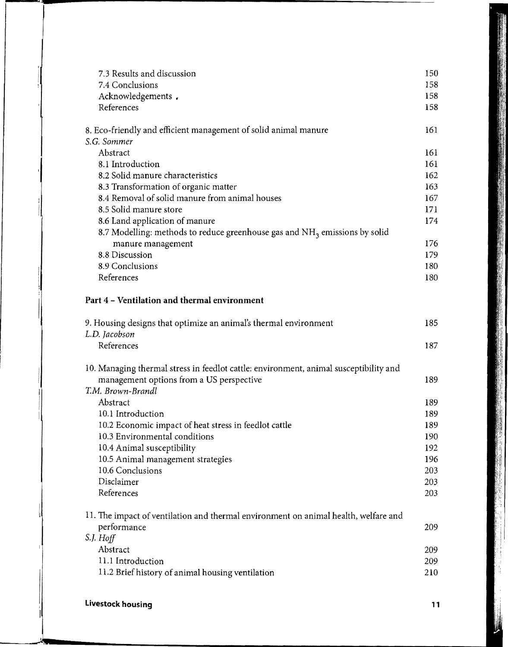| 7.3 Results and discussion                                                             | 150 |
|----------------------------------------------------------------------------------------|-----|
| 7.4 Conclusions                                                                        | 158 |
| Acknowledgements.                                                                      | 158 |
| References                                                                             | 158 |
|                                                                                        |     |
| 8. Eco-friendly and efficient management of solid animal manure                        | 161 |
| S.G. Sommer                                                                            |     |
| Abstract                                                                               | 161 |
| 8.1 Introduction                                                                       | 161 |
| 8.2 Solid manure characteristics                                                       | 162 |
| 8.3 Transformation of organic matter                                                   | 163 |
| 8.4 Removal of solid manure from animal houses                                         | 167 |
| 8.5 Solid manure store                                                                 | 171 |
| 8.6 Land application of manure                                                         | 174 |
| 8.7 Modelling: methods to reduce greenhouse gas and NH <sub>3</sub> emissions by solid |     |
| manure management                                                                      | 176 |
| 8.8 Discussion                                                                         | 179 |
| 8.9 Conclusions                                                                        | 180 |
| References                                                                             | 180 |
| Part 4 - Ventilation and thermal environment                                           |     |
|                                                                                        |     |
| 9. Housing designs that optimize an animal's thermal environment                       | 185 |
| L.D. Jacobson                                                                          |     |
| References                                                                             | 187 |
| 10. Managing thermal stress in feedlot cattle: environment, animal susceptibility and  |     |
| management options from a US perspective                                               | 189 |
| T.M. Brown-Brandl                                                                      |     |
| Abstract                                                                               | 189 |
| 10.1 Introduction                                                                      | 189 |
| 10.2 Economic impact of heat stress in feedlot cattle                                  | 189 |
| 10.3 Environmental conditions                                                          | 190 |
| 10.4 Animal susceptibility                                                             | 192 |
| 10.5 Animal management strategies                                                      | 196 |
| 10.6 Conclusions                                                                       | 203 |
| Disclaimer                                                                             | 203 |
| References                                                                             | 203 |
|                                                                                        |     |
| 11. The impact of ventilation and thermal environment on animal health, welfare and    |     |
| performance                                                                            | 209 |
| $S.J.$ Hoff                                                                            |     |
| Abstract                                                                               | 209 |
| 11.1 Introduction                                                                      | 209 |
| 11.2 Brief history of animal housing ventilation                                       | 210 |
|                                                                                        |     |

**Livestock housing the contract of the contract of the contract of the contract of the contract of the contract of the contract of the contract of the contract of the contract of the contract of the contract of the contrac** 

in.

**External Property**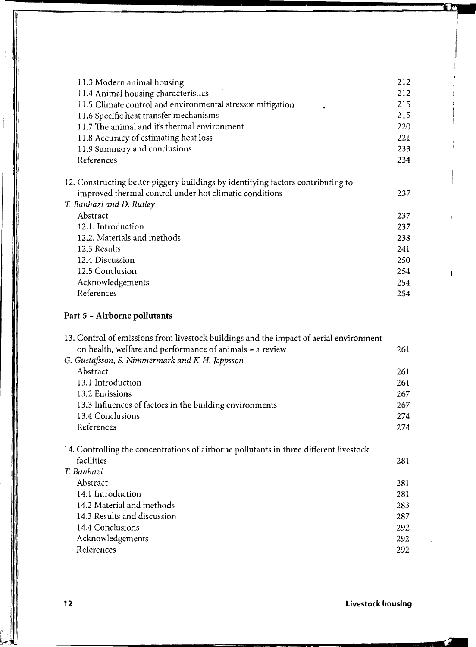| 11.3 Modern animal housing                                                       | 212 |
|----------------------------------------------------------------------------------|-----|
| 11.4 Animal housing characteristics                                              | 212 |
| 11.5 Climate control and environmental stressor mitigation                       | 215 |
| 11.6 Specific heat transfer mechanisms                                           | 215 |
| 11.7 The animal and it's thermal environment                                     | 220 |
| 11.8 Accuracy of estimating heat loss                                            | 221 |
| 11.9 Summary and conclusions                                                     | 233 |
| References                                                                       | 234 |
| 12. Constructing better piggery buildings by identifying factors contributing to |     |
| improved thermal control under hot climatic conditions                           | 237 |
| T. Banhazi and D. Rutley                                                         |     |
| Abstract                                                                         | 237 |
| 12.1. Introduction                                                               | 237 |
| 12.2. Materials and methods                                                      | 238 |
| 12.3 Results                                                                     | 241 |
| 12.4 Discussion                                                                  | 250 |
| 12.5 Conclusion                                                                  | 254 |
| Acknowledgements                                                                 | 254 |
| References                                                                       | 254 |
|                                                                                  |     |

# **Part** 5 - **Airborne pollutants**

j

| 13. Control of emissions from livestock buildings and the impact of aerial environment |     |
|----------------------------------------------------------------------------------------|-----|
| on health, welfare and performance of animals - a review                               | 261 |
| G. Gustafsson, S. Nimmermark and K-H. Jeppsson                                         |     |
| Abstract                                                                               | 261 |
| 13.1 Introduction                                                                      | 261 |
| 13.2 Emissions                                                                         | 267 |
| 13.3 Influences of factors in the building environments                                | 267 |
| 13.4 Conclusions                                                                       | 274 |
| References                                                                             | 274 |
| 14. Controlling the concentrations of airborne pollutants in three different livestock |     |
| facilities                                                                             | 281 |
| T. Banhazi                                                                             |     |
| Abstract                                                                               | 281 |
| 14.1 Introduction                                                                      | 281 |
| 14.2 Material and methods                                                              | 283 |
| 14.3 Results and discussion                                                            | 287 |
| 14.4 Conclusions                                                                       | 292 |
| Acknowledgements                                                                       | 292 |
| References                                                                             | 292 |

#### **12 Livestock housing**

.--r' -:.,

**Tr** 

 $\mathbf{I}$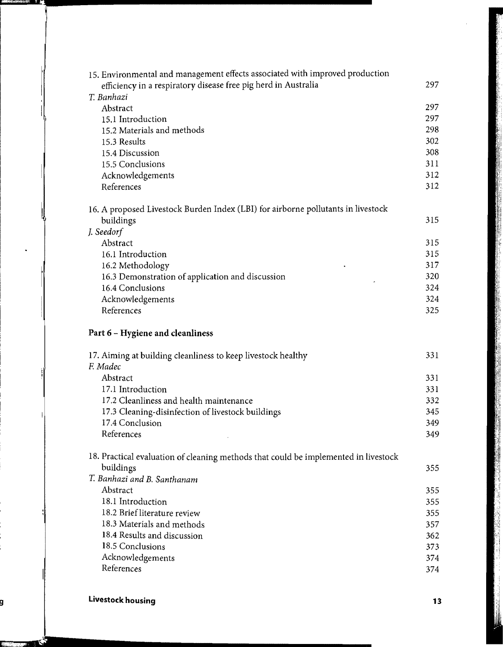| 15. Environmental and management effects associated with improved production        |            |
|-------------------------------------------------------------------------------------|------------|
| efficiency in a respiratory disease free pig herd in Australia                      | 297        |
| T. Banhazi                                                                          |            |
| Abstract                                                                            | 297        |
| 15.1 Introduction                                                                   | 297        |
| 15.2 Materials and methods                                                          | 298        |
| 15.3 Results                                                                        | 302        |
| 15.4 Discussion                                                                     | 308        |
| 15.5 Conclusions                                                                    | 311        |
| Acknowledgements                                                                    | 312        |
| References                                                                          | 312        |
| 16. A proposed Livestock Burden Index (LBI) for airborne pollutants in livestock    |            |
| buildings                                                                           | 315        |
| J. Seedorf                                                                          |            |
| Abstract                                                                            | 315        |
| 16.1 Introduction                                                                   | 315        |
| 16.2 Methodology                                                                    | 317        |
| 16.3 Demonstration of application and discussion                                    | 320        |
| 16.4 Conclusions                                                                    | 324<br>324 |
| Acknowledgements<br>References                                                      | 325        |
|                                                                                     |            |
|                                                                                     |            |
| Part 6 - Hygiene and cleanliness                                                    |            |
| 17. Aiming at building cleanliness to keep livestock healthy                        | 331        |
| F. Madec                                                                            |            |
| Abstract                                                                            | 331        |
| 17.1 Introduction                                                                   | 331        |
| 17.2 Cleanliness and health maintenance                                             | 332        |
| 17.3 Cleaning-disinfection of livestock buildings                                   | 345        |
| 17.4 Conclusion                                                                     | 349        |
| References                                                                          | 349        |
| 18. Practical evaluation of cleaning methods that could be implemented in livestock |            |
| buildings                                                                           | 355        |
| T. Banhazi and B. Santhanam                                                         |            |
| Abstract                                                                            | 355        |
| 18.1 Introduction                                                                   | 355        |
| 18.2 Brief literature review                                                        | 355        |
| 18.3 Materials and methods                                                          | 357        |
| 18.4 Results and discussion                                                         | 362        |
| 18.5 Conclusions                                                                    | 373        |
| Acknowledgements<br>References                                                      | 374<br>374 |

(" "N=T35f\_'~!II•••••••••••••••••••••••••••••••••••••••••••••

**I:** '~,~,,:, **-'if**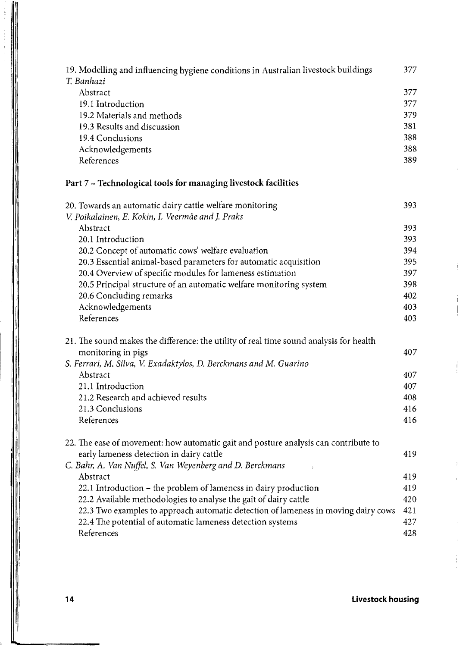| 19. Modelling and influencing hygiene conditions in Australian livestock buildings<br>T. Banhazi | 377        |
|--------------------------------------------------------------------------------------------------|------------|
| Abstract                                                                                         | 377        |
| 19.1 Introduction                                                                                | 377        |
| 19.2 Materials and methods                                                                       | 379        |
| 19.3 Results and discussion                                                                      | 381        |
| 19.4 Conclusions                                                                                 | 388        |
| Acknowledgements                                                                                 | 388        |
| References                                                                                       | 389        |
| Part 7 - Technological tools for managing livestock facilities                                   |            |
| 20. Towards an automatic dairy cattle welfare monitoring                                         | 393        |
| V. Poikalainen, E. Kokin, I. Veermäe and J. Praks                                                |            |
| Abstract                                                                                         | 393        |
| 20.1 Introduction                                                                                | 393        |
| 20.2 Concept of automatic cows' welfare evaluation                                               | 394        |
| 20.3 Essential animal-based parameters for automatic acquisition                                 | 395<br>397 |
| 20.4 Overview of specific modules for lameness estimation                                        | 398        |
| 20.5 Principal structure of an automatic welfare monitoring system<br>20.6 Concluding remarks    | 402        |
| Acknowledgements                                                                                 | 403        |
| References                                                                                       | 403        |
|                                                                                                  |            |
| 21. The sound makes the difference: the utility of real time sound analysis for health           |            |
| monitoring in pigs                                                                               | 407        |
| S. Ferrari, M. Silva, V. Exadaktylos, D. Berckmans and M. Guarino                                |            |
| Abstract                                                                                         | 407        |
| 21.1 Introduction                                                                                | 407        |
| 21.2 Research and achieved results                                                               | 408        |
| 21.3 Conclusions                                                                                 | 416        |
| References                                                                                       | 416        |
| 22. The ease of movement: how automatic gait and posture analysis can contribute to              |            |
| early lameness detection in dairy cattle                                                         | 419        |
| C. Bahr, A. Van Nuffel, S. Van Weyenberg and D. Berckmans                                        |            |
| Abstract                                                                                         | 419        |
| 22.1 Introduction - the problem of lameness in dairy production                                  | 419        |
| 22.2 Available methodologies to analyse the gait of dairy cattle                                 | 420        |
| 22.3 Two examples to approach automatic detection of lameness in moving dairy cows               | 421        |
| 22.4 The potential of automatic lameness detection systems                                       | 427        |
| References                                                                                       | 428        |

"'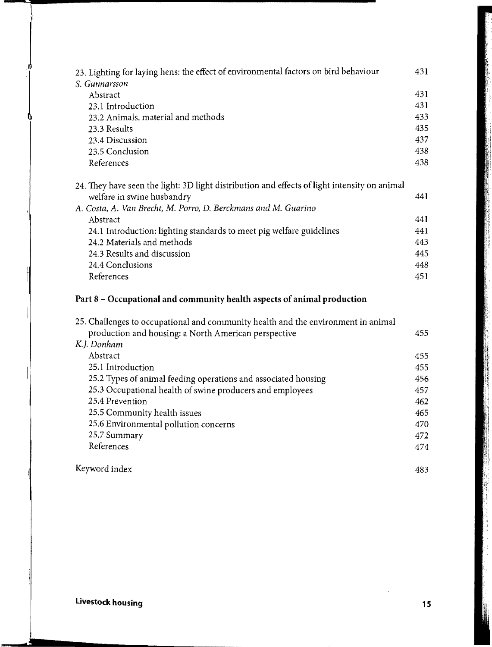| 23. Lighting for laying hens: the effect of environmental factors on bird behaviour          | 431 |
|----------------------------------------------------------------------------------------------|-----|
| S. Gunnarsson                                                                                |     |
| Abstract                                                                                     | 431 |
| 23.1 Introduction                                                                            | 431 |
| 23.2 Animals, material and methods                                                           | 433 |
| 23.3 Results                                                                                 | 435 |
| 23.4 Discussion                                                                              | 437 |
| 23.5 Conclusion                                                                              | 438 |
| References                                                                                   | 438 |
| 24. They have seen the light: 3D light distribution and effects of light intensity on animal |     |
| welfare in swine husbandry                                                                   | 441 |
| A. Costa, A. Van Brecht, M. Porro, D. Berckmans and M. Guarino                               |     |
| Abstract                                                                                     | 441 |
| 24.1 Introduction: lighting standards to meet pig welfare guidelines                         | 441 |
| 24.2 Materials and methods                                                                   | 443 |
| 24.3 Results and discussion                                                                  | 445 |
| 24.4 Conclusions                                                                             | 448 |
| References                                                                                   | 451 |

#### **Part 8 - Occupational and community health aspects of animal production**

| 25. Challenges to occupational and community health and the environment in animal |     |
|-----------------------------------------------------------------------------------|-----|
| production and housing: a North American perspective                              | 455 |
| K.J. Donham                                                                       |     |
| Abstract                                                                          | 455 |
| 25.1 Introduction                                                                 | 455 |
| 25.2 Types of animal feeding operations and associated housing                    | 456 |
| 25.3 Occupational health of swine producers and employees                         | 457 |
| 25.4 Prevention                                                                   | 462 |
| 25.5 Community health issues                                                      | 465 |
| 25.6 Environmental pollution concerns                                             | 470 |
| 25.7 Summary                                                                      | 472 |
| References                                                                        | 474 |
| Keyword index                                                                     | 483 |

**Livestock housing 15** 

 $\begin{matrix} \n\end{matrix}$ 

 $\begin{array}{c}\n\hline\n\end{array}$ 

a Caracteria

i.

I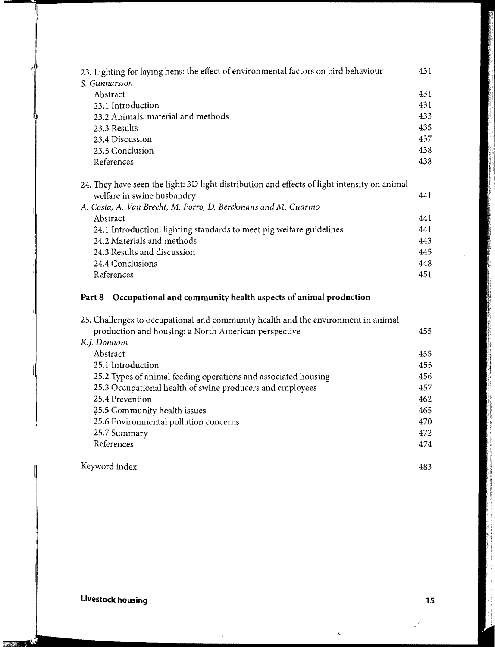| 23. Lighting for laying hens: the effect of environmental factors on bird behaviour          | 431 |
|----------------------------------------------------------------------------------------------|-----|
| S. Gunnarsson                                                                                |     |
| Abstract                                                                                     | 431 |
| 23.1 Introduction                                                                            | 431 |
| 23.2 Animals, material and methods                                                           | 433 |
| 23.3 Results                                                                                 | 435 |
| 23.4 Discussion                                                                              | 437 |
| 23.5 Conclusion                                                                              | 438 |
| References                                                                                   | 438 |
| 24. They have seen the light: 3D light distribution and effects of light intensity on animal | 441 |
| welfare in swine husbandry                                                                   |     |
| A. Costa, A. Van Brecht, M. Porro, D. Berckmans and M. Guarino                               |     |
| Abstract                                                                                     | 441 |
| 24.1 Introduction: lighting standards to meet pig welfare guidelines                         | 441 |
| 24.2 Materials and methods                                                                   | 443 |
| 24.3 Results and discussion                                                                  | 445 |
| 24.4 Conclusions                                                                             | 448 |
| References                                                                                   | 451 |
|                                                                                              |     |

#### Part 8 - Occupational and community health aspects of animal production

| 25. Challenges to occupational and community health and the environment in animal |     |
|-----------------------------------------------------------------------------------|-----|
| production and housing: a North American perspective                              | 455 |
| K.J. Donham                                                                       |     |
| Abstract                                                                          | 455 |
| 25.1 Introduction                                                                 | 455 |
| 25.2 Types of animal feeding operations and associated housing                    | 456 |
| 25.3 Occupational health of swine producers and employees                         | 457 |
| 25.4 Prevention                                                                   | 462 |
| 25.5 Community health issues                                                      | 465 |
| 25.6 Environmental pollution concerns                                             | 470 |
| 25.7 Summary                                                                      | 472 |
| References                                                                        | 474 |
| Keyword index                                                                     | 483 |

Keyword index

**Livestock housing 15** 

r S

**TEACHER** 

 $\tilde{\phantom{a}}$ 

 $\mathbb{R}$ 

i.

ļ,

I